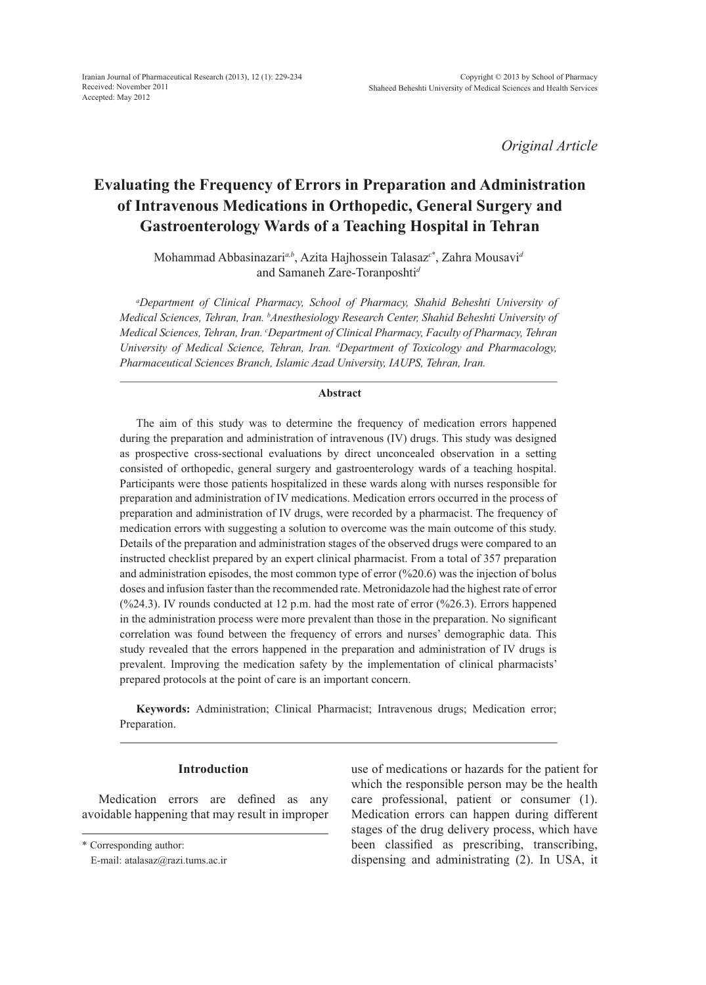*Original Article*

# **Evaluating the Frequency of Errors in Preparation and Administration of Intravenous Medications in Orthopedic, General Surgery and Gastroenterology Wards of a Teaching Hospital in Tehran**

Mohammad Abbasinazari*a,b*, Azita Hajhossein Talasaz*<sup>c</sup>*\* , Zahra Mousavi*<sup>d</sup>* and Samaneh Zare-Toranposhti*<sup>d</sup>*

*a Department of Clinical Pharmacy, School of Pharmacy, Shahid Beheshti University of Medical Sciences, Tehran, Iran. b Anesthesiology Research Center, Shahid Beheshti University of Medical Sciences, Tehran, Iran. c Department of Clinical Pharmacy, Faculty of Pharmacy, Tehran University of Medical Science, Tehran, Iran. d Department of Toxicology and Pharmacology, Pharmaceutical Sciences Branch, Islamic Azad University, IAUPS, Tehran, Iran.*

#### **Abstract**

The aim of this study was to determine the frequency of medication errors happened during the preparation and administration of intravenous (IV) drugs. This study was designed as prospective cross-sectional evaluations by direct unconcealed observation in a setting consisted of orthopedic, general surgery and gastroenterology wards of a teaching hospital. Participants were those patients hospitalized in these wards along with nurses responsible for preparation and administration of IV medications. Medication errors occurred in the process of preparation and administration of IV drugs, were recorded by a pharmacist. The frequency of medication errors with suggesting a solution to overcome was the main outcome of this study. Details of the preparation and administration stages of the observed drugs were compared to an instructed checklist prepared by an expert clinical pharmacist. From a total of 357 preparation and administration episodes, the most common type of error  $(\frac{620.6}{\sqrt{20.6}})$  was the injection of bolus doses and infusion faster than the recommended rate. Metronidazole had the highest rate of error  $(\frac{624.3}{12})$ . IV rounds conducted at 12 p.m. had the most rate of error  $(\frac{626.3}{12})$ . Errors happened in the administration process were more prevalent than those in the preparation. No significant correlation was found between the frequency of errors and nurses' demographic data. This study revealed that the errors happened in the preparation and administration of IV drugs is prevalent. Improving the medication safety by the implementation of clinical pharmacists' prepared protocols at the point of care is an important concern.

**Keywords:** Administration; Clinical Pharmacist; Intravenous drugs; Medication error; Preparation.

# **Introduction**

Medication errors are defined as any avoidable happening that may result in improper use of medications or hazards for the patient for which the responsible person may be the health care professional, patient or consumer (1). Medication errors can happen during different stages of the drug delivery process, which have been classified as prescribing, transcribing, dispensing and administrating (2). In USA, it

<sup>\*</sup> Corresponding author:

E-mail: atalasaz@razi.tums.ac.ir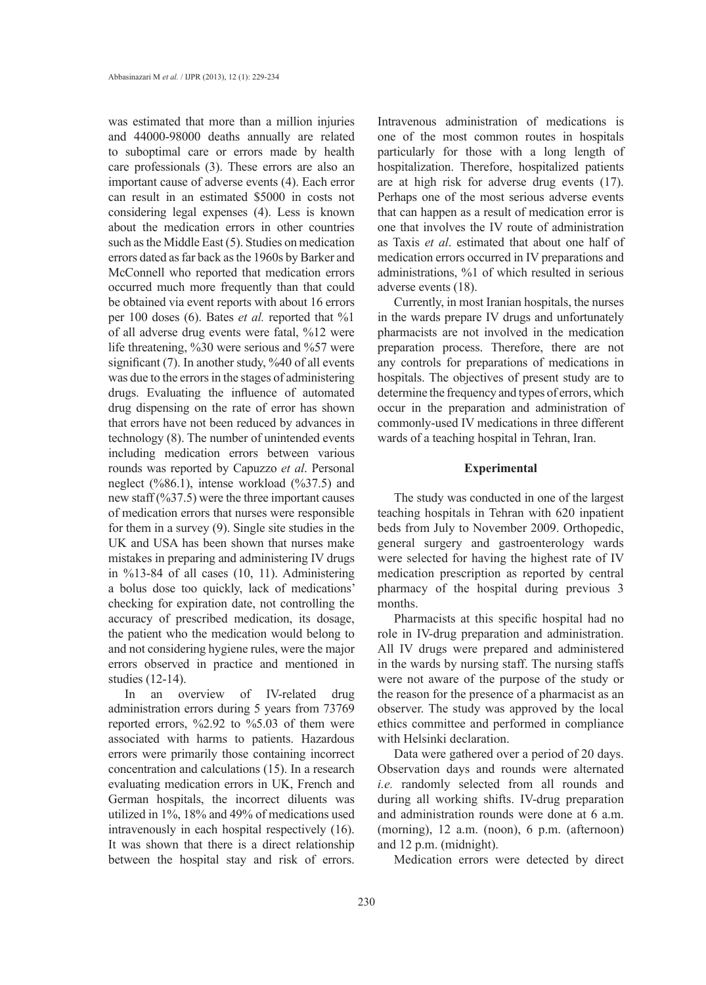was estimated that more than a million injuries and 44000-98000 deaths annually are related to suboptimal care or errors made by health care professionals (3). These errors are also an important cause of adverse events (4). Each error can result in an estimated \$5000 in costs not considering legal expenses (4). Less is known about the medication errors in other countries such as the Middle East (5). Studies on medication errors dated as far back as the 1960s by Barker and McConnell who reported that medication errors occurred much more frequently than that could be obtained via event reports with about 16 errors per 100 doses (6). Bates *et al.* reported that %1 of all adverse drug events were fatal, %12 were life threatening, %30 were serious and %57 were significant  $(7)$ . In another study, %40 of all events was due to the errors in the stages of administering drugs. Evaluating the influence of automated drug dispensing on the rate of error has shown that errors have not been reduced by advances in technology (8). The number of unintended events including medication errors between various rounds was reported by Capuzzo *et al*. Personal neglect (%86.1), intense workload (%37.5) and new staff (%37.5) were the three important causes of medication errors that nurses were responsible for them in a survey (9). Single site studies in the UK and USA has been shown that nurses make mistakes in preparing and administering IV drugs in %13-84 of all cases (10, 11). Administering a bolus dose too quickly, lack of medications' checking for expiration date, not controlling the accuracy of prescribed medication, its dosage, the patient who the medication would belong to and not considering hygiene rules, were the major errors observed in practice and mentioned in studies (12-14).

In an overview of IV-related drug administration errors during 5 years from 73769 reported errors, %2.92 to %5.03 of them were associated with harms to patients. Hazardous errors were primarily those containing incorrect concentration and calculations (15). In a research evaluating medication errors in UK, French and German hospitals, the incorrect diluents was utilized in 1%, 18% and 49% of medications used intravenously in each hospital respectively (16). It was shown that there is a direct relationship between the hospital stay and risk of errors. Intravenous administration of medications is one of the most common routes in hospitals particularly for those with a long length of hospitalization. Therefore, hospitalized patients are at high risk for adverse drug events (17). Perhaps one of the most serious adverse events that can happen as a result of medication error is one that involves the IV route of administration as Taxis *et al*. estimated that about one half of medication errors occurred in IV preparations and administrations, %1 of which resulted in serious adverse events (18).

Currently, in most Iranian hospitals, the nurses in the wards prepare IV drugs and unfortunately pharmacists are not involved in the medication preparation process. Therefore, there are not any controls for preparations of medications in hospitals. The objectives of present study are to determine the frequency and types of errors, which occur in the preparation and administration of commonly-used IV medications in three different wards of a teaching hospital in Tehran, Iran.

## **Experimental**

The study was conducted in one of the largest teaching hospitals in Tehran with 620 inpatient beds from July to November 2009. Orthopedic, general surgery and gastroenterology wards were selected for having the highest rate of IV medication prescription as reported by central pharmacy of the hospital during previous 3 months.

Pharmacists at this specific hospital had no role in IV-drug preparation and administration. All IV drugs were prepared and administered in the wards by nursing staff. The nursing staffs were not aware of the purpose of the study or the reason for the presence of a pharmacist as an observer. The study was approved by the local ethics committee and performed in compliance with Helsinki declaration.

Data were gathered over a period of 20 days. Observation days and rounds were alternated *i.e.* randomly selected from all rounds and during all working shifts. IV-drug preparation and administration rounds were done at 6 a.m. (morning), 12 a.m. (noon), 6 p.m. (afternoon) and 12 p.m. (midnight).

Medication errors were detected by direct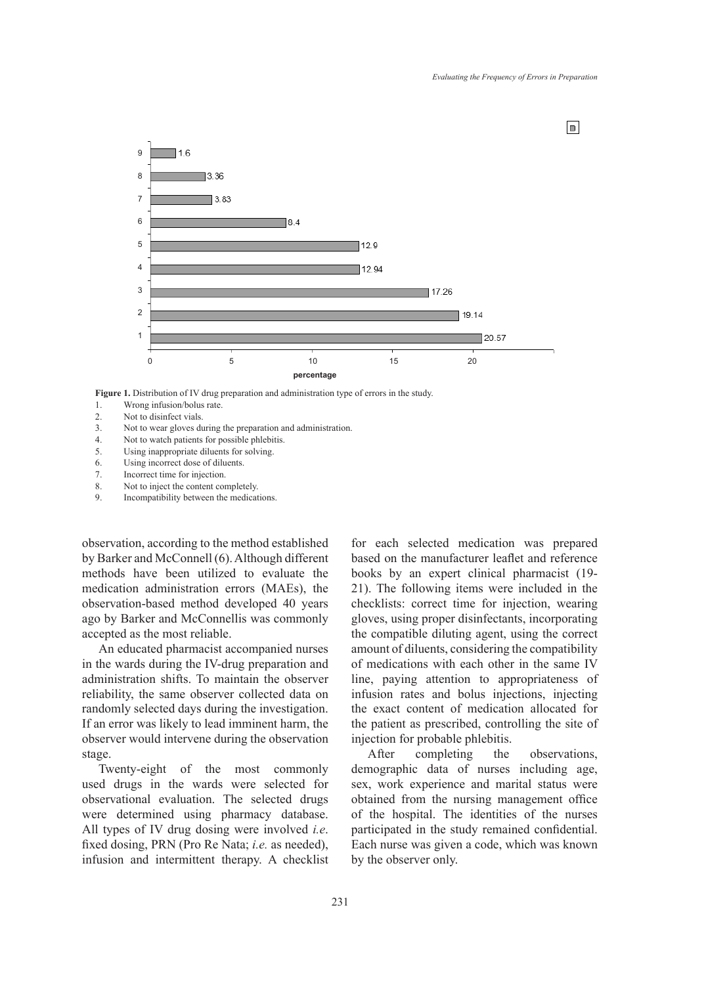

**Figure 1.** Distribution of IV drug preparation and administration type of errors in the study.

- 2. Not to disinfect vials.
- 3. Not to wear gloves during the preparation and administration.
- 4. Not to watch patients for possible phlebitis.
- 5. Using inappropriate diluents for solving.
- 6. Using incorrect dose of diluents.
- 7. Incorrect time for injection.
- 8. Not to inject the content completely.
- 9. Incompatibility between the medications.

observation, according to the method established by Barker and McConnell (6). Although different methods have been utilized to evaluate the medication administration errors (MAEs), the observation-based method developed 40 years ago by Barker and McConnellis was commonly accepted as the most reliable.

An educated pharmacist accompanied nurses in the wards during the IV-drug preparation and administration shifts. To maintain the observer reliability, the same observer collected data on randomly selected days during the investigation. If an error was likely to lead imminent harm, the observer would intervene during the observation stage.

Twenty-eight of the most commonly used drugs in the wards were selected for observational evaluation. The selected drugs were determined using pharmacy database. All types of IV drug dosing were involved *i.e*. fixed dosing, PRN (Pro Re Nata; *i.e.* as needed), infusion and intermittent therapy. A checklist for each selected medication was prepared based on the manufacturer leaflet and reference books by an expert clinical pharmacist (19- 21). The following items were included in the checklists: correct time for injection, wearing gloves, using proper disinfectants, incorporating the compatible diluting agent, using the correct amount of diluents, considering the compatibility of medications with each other in the same IV line, paying attention to appropriateness of infusion rates and bolus injections, injecting the exact content of medication allocated for the patient as prescribed, controlling the site of injection for probable phlebitis.

After completing the observations, demographic data of nurses including age, sex, work experience and marital status were obtained from the nursing management office of the hospital. The identities of the nurses participated in the study remained confidential. Each nurse was given a code, which was known by the observer only.

<sup>1.</sup> Wrong infusion/bolus rate.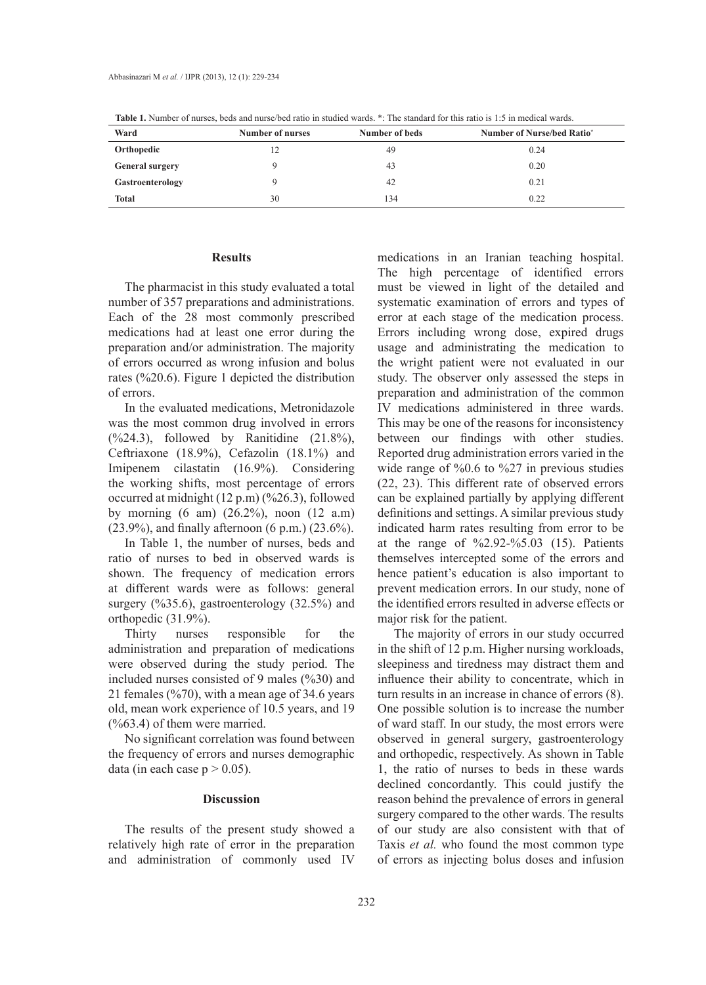| <b>THESE IS FULLED TO THE THEOREM IN THE THEOREM INTO THE SUMMON.</b> THE SUMMON TO THE HIS THE HIS MEAN, THE HIS MEAN, |                  |                |                                              |
|-------------------------------------------------------------------------------------------------------------------------|------------------|----------------|----------------------------------------------|
| Ward                                                                                                                    | Number of nurses | Number of beds | <b>Number of Nurse/bed Ratio<sup>*</sup></b> |
| Orthopedic                                                                                                              |                  | 49             | 0.24                                         |
| <b>General surgery</b>                                                                                                  |                  | 43             | 0.20                                         |
| Gastroenterology                                                                                                        |                  | 42             | 0.21                                         |
| <b>Total</b>                                                                                                            | 30               | 134            | 0.22                                         |

**Table 1.** Number of nurses, beds and nurse/bed ratio in studied wards. \*: The standard for this ratio is 1:5 in medical wards.

## **Results**

The pharmacist in this study evaluated a total number of 357 preparations and administrations. Each of the 28 most commonly prescribed medications had at least one error during the preparation and/or administration. The majority of errors occurred as wrong infusion and bolus rates (%20.6). Figure 1 depicted the distribution of errors.

In the evaluated medications, Metronidazole was the most common drug involved in errors  $(%24.3)$ , followed by Ranitidine  $(21.8\%)$ , Ceftriaxone (18.9%), Cefazolin (18.1%) and Imipenem cilastatin (16.9%). Considering the working shifts, most percentage of errors occurred at midnight (12 p.m) (%26.3), followed by morning (6 am) (26.2%), noon (12 a.m) (23.9%), and finally afternoon (6 p.m.) (23.6%).

In Table 1, the number of nurses, beds and ratio of nurses to bed in observed wards is shown. The frequency of medication errors at different wards were as follows: general surgery (%35.6), gastroenterology (32.5%) and orthopedic (31.9%).

Thirty nurses responsible for the administration and preparation of medications were observed during the study period. The included nurses consisted of 9 males (%30) and 21 females (%70), with a mean age of 34.6 years old, mean work experience of 10.5 years, and 19 (%63.4) of them were married.

No significant correlation was found between the frequency of errors and nurses demographic data (in each case  $p > 0.05$ ).

# **Discussion**

The results of the present study showed a relatively high rate of error in the preparation and administration of commonly used IV

medications in an Iranian teaching hospital. The high percentage of identified errors must be viewed in light of the detailed and systematic examination of errors and types of error at each stage of the medication process. Errors including wrong dose, expired drugs usage and administrating the medication to the wright patient were not evaluated in our study. The observer only assessed the steps in preparation and administration of the common IV medications administered in three wards. This may be one of the reasons for inconsistency between our findings with other studies. Reported drug administration errors varied in the wide range of %0.6 to %27 in previous studies (22, 23). This different rate of observed errors can be explained partially by applying different definitions and settings. A similar previous study indicated harm rates resulting from error to be at the range of  $\frac{6}{2.92}$ -%5.03 (15). Patients themselves intercepted some of the errors and hence patient's education is also important to prevent medication errors. In our study, none of the identified errors resulted in adverse effects or major risk for the patient.

The majority of errors in our study occurred in the shift of 12 p.m. Higher nursing workloads, sleepiness and tiredness may distract them and influence their ability to concentrate, which in turn results in an increase in chance of errors (8). One possible solution is to increase the number of ward staff. In our study, the most errors were observed in general surgery, gastroenterology and orthopedic, respectively. As shown in Table 1, the ratio of nurses to beds in these wards declined concordantly. This could justify the reason behind the prevalence of errors in general surgery compared to the other wards. The results of our study are also consistent with that of Taxis *et al.* who found the most common type of errors as injecting bolus doses and infusion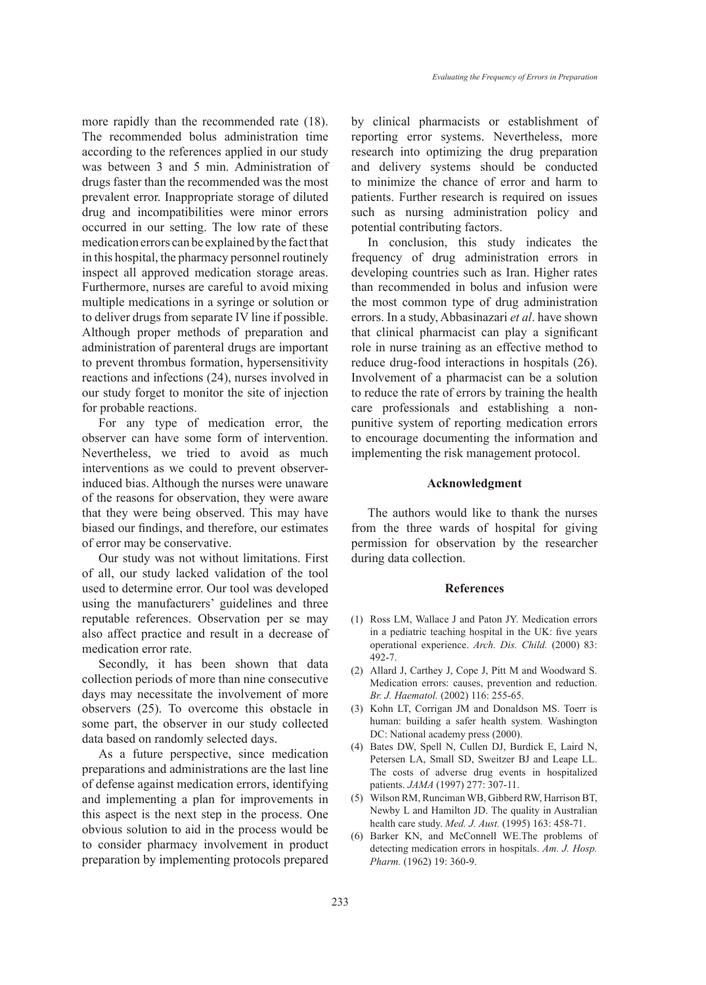more rapidly than the recommended rate (18). The recommended bolus administration time according to the references applied in our study was between 3 and 5 min. Administration of drugs faster than the recommended was the most prevalent error. Inappropriate storage of diluted drug and incompatibilities were minor errors occurred in our setting. The low rate of these medication errors can be explained by the fact that in this hospital, the pharmacy personnel routinely inspect all approved medication storage areas. Furthermore, nurses are careful to avoid mixing multiple medications in a syringe or solution or to deliver drugs from separate IV line if possible. Although proper methods of preparation and administration of parenteral drugs are important to prevent thrombus formation, hypersensitivity reactions and infections (24), nurses involved in our study forget to monitor the site of injection for probable reactions.

For any type of medication error, the observer can have some form of intervention. Nevertheless, we tried to avoid as much interventions as we could to prevent observerinduced bias. Although the nurses were unaware of the reasons for observation, they were aware that they were being observed. This may have biased our findings, and therefore, our estimates of error may be conservative.

Our study was not without limitations. First of all, our study lacked validation of the tool used to determine error. Our tool was developed using the manufacturers' guidelines and three reputable references. Observation per se may also affect practice and result in a decrease of medication error rate.

Secondly, it has been shown that data collection periods of more than nine consecutive days may necessitate the involvement of more observers (25). To overcome this obstacle in some part, the observer in our study collected data based on randomly selected days.

As a future perspective, since medication preparations and administrations are the last line of defense against medication errors, identifying and implementing a plan for improvements in this aspect is the next step in the process. One obvious solution to aid in the process would be to consider pharmacy involvement in product preparation by implementing protocols prepared by clinical pharmacists or establishment of reporting error systems. Nevertheless, more research into optimizing the drug preparation and delivery systems should be conducted to minimize the chance of error and harm to patients. Further research is required on issues such as nursing administration policy and potential contributing factors.

In conclusion, this study indicates the frequency of drug administration errors in developing countries such as Iran. Higher rates than recommended in bolus and infusion were the most common type of drug administration errors. In a study, Abbasinazari *et al*. have shown that clinical pharmacist can play a significant role in nurse training as an effective method to reduce drug-food interactions in hospitals (26). Involvement of a pharmacist can be a solution to reduce the rate of errors by training the health care professionals and establishing a nonpunitive system of reporting medication errors to encourage documenting the information and implementing the risk management protocol.

## **Acknowledgment**

The authors would like to thank the nurses from the three wards of hospital for giving permission for observation by the researcher during data collection.

#### **References**

- (1) Ross LM, Wallace J and Paton JY. Medication errors in a pediatric teaching hospital in the UK: five years operational experience. *Arch. Dis. Child.* (2000) 83: 492-7.
- Allard J, Carthey J, Cope J, Pitt M and Woodward S. (2) Medication errors: causes, prevention and reduction. *Br. J. Haematol.* (2002) 116: 255-65.
- (3) Kohn LT, Corrigan JM and Donaldson MS. Toerr is human: building a safer health system*.* Washington DC: National academy press (2000).
- Bates DW, Spell N, Cullen DJ, Burdick E, Laird N, (4) Petersen LA, Small SD, Sweitzer BJ and Leape LL. The costs of adverse drug events in hospitalized patients. *JAMA* (1997) 277: 307-11.
- Wilson RM, Runciman WB, Gibberd RW, Harrison BT, (5) Newby L and Hamilton JD. The quality in Australian health care study. *Med. J. Aust.* (1995) 163: 458-71.
- (6) Barker KN, and McConnell WE. The problems of detecting medication errors in hospitals. *Am. J. Hosp. Pharm.* (1962) 19: 360-9.